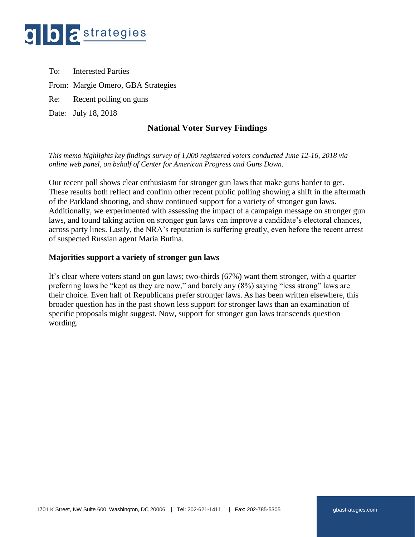

To: Interested Parties From: Margie Omero, GBA Strategies

Re: Recent polling on guns

Date: July 18, 2018

### **National Voter Survey Findings**

*This memo highlights key findings survey of 1,000 registered voters conducted June 12-16, 2018 via online web panel, on behalf of Center for American Progress and Guns Down.* 

Our recent poll shows clear enthusiasm for stronger gun laws that make guns harder to get. These results both reflect and confirm other recent public polling showing a shift in the aftermath of the Parkland shooting, and show continued support for a variety of stronger gun laws. Additionally, we experimented with assessing the impact of a campaign message on stronger gun laws, and found taking action on stronger gun laws can improve a candidate's electoral chances, across party lines. Lastly, the NRA's reputation is suffering greatly, even before the recent arrest of suspected Russian agent Maria Butina.

#### **Majorities support a variety of stronger gun laws**

It's clear where voters stand on gun laws; two-thirds (67%) want them stronger, with a quarter preferring laws be "kept as they are now," and barely any (8%) saying "less strong" laws are their choice. Even half of Republicans prefer stronger laws. As has been written elsewhere, this broader question has in the past shown less support for stronger laws than an examination of specific proposals might suggest. Now, support for stronger gun laws transcends question wording.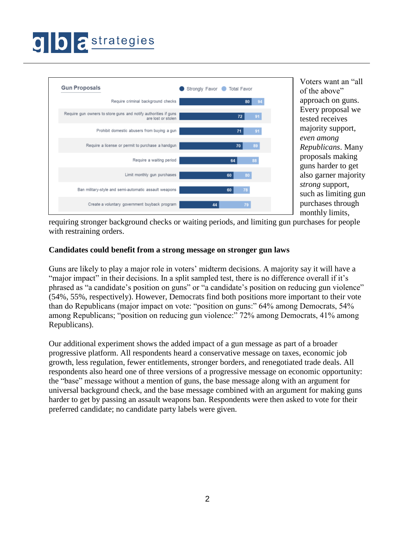## **ODE** strategies



Voters want an "all of the above" approach on guns. Every proposal we tested receives majority support, *even among Republicans*. Many proposals making guns harder to get also garner majority *strong* support, such as limiting gun purchases through monthly limits,

requiring stronger background checks or waiting periods, and limiting gun purchases for people with restraining orders.

#### **Candidates could benefit from a strong message on stronger gun laws**

Guns are likely to play a major role in voters' midterm decisions. A majority say it will have a "major impact" in their decisions. In a split sampled test, there is no difference overall if it's phrased as "a candidate's position on guns" or "a candidate's position on reducing gun violence" (54%, 55%, respectively). However, Democrats find both positions more important to their vote than do Republicans (major impact on vote: "position on guns:" 64% among Democrats, 54% among Republicans; "position on reducing gun violence:" 72% among Democrats, 41% among Republicans).

Our additional experiment shows the added impact of a gun message as part of a broader progressive platform. All respondents heard a conservative message on taxes, economic job growth, less regulation, fewer entitlements, stronger borders, and renegotiated trade deals. All respondents also heard one of three versions of a progressive message on economic opportunity: the "base" message without a mention of guns, the base message along with an argument for universal background check, and the base message combined with an argument for making guns harder to get by passing an assault weapons ban. Respondents were then asked to vote for their preferred candidate; no candidate party labels were given.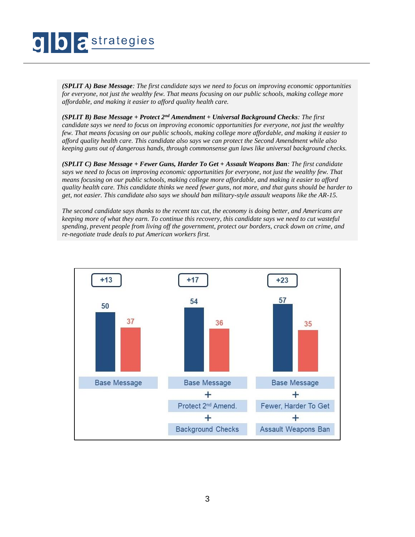## **ODE** strategies

*(SPLIT A) Base Message: The first candidate says we need to focus on improving economic opportunities for everyone, not just the wealthy few. That means focusing on our public schools, making college more affordable, and making it easier to afford quality health care.*

*(SPLIT B) Base Message + Protect 2nd Amendment + Universal Background Checks: The first candidate says we need to focus on improving economic opportunities for everyone, not just the wealthy few. That means focusing on our public schools, making college more affordable, and making it easier to afford quality health care. This candidate also says we can protect the Second Amendment while also keeping guns out of dangerous hands, through commonsense gun laws like universal background checks.*

*(SPLIT C) Base Message + Fewer Guns, Harder To Get + Assault Weapons Ban: The first candidate says we need to focus on improving economic opportunities for everyone, not just the wealthy few. That means focusing on our public schools, making college more affordable, and making it easier to afford quality health care. This candidate thinks we need fewer guns, not more, and that guns should be harder to get, not easier. This candidate also says we should ban military-style assault weapons like the AR-15.*

*The second candidate says thanks to the recent tax cut, the economy is doing better, and Americans are keeping more of what they earn. To continue this recovery, this candidate says we need to cut wasteful spending, prevent people from living off the government, protect our borders, crack down on crime, and re-negotiate trade deals to put American workers first.*

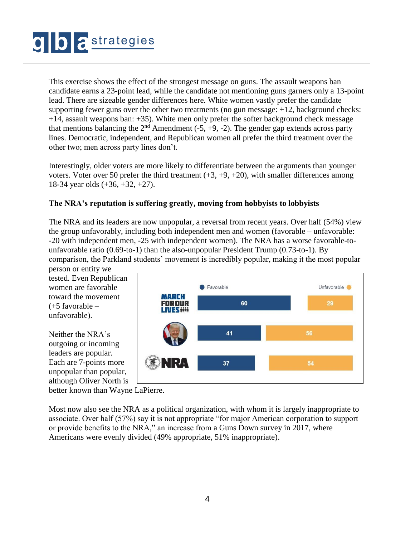# **O** D & strategies

This exercise shows the effect of the strongest message on guns. The assault weapons ban candidate earns a 23-point lead, while the candidate not mentioning guns garners only a 13-point lead. There are sizeable gender differences here. White women vastly prefer the candidate supporting fewer guns over the other two treatments (no gun message: +12, background checks:  $+14$ , assault weapons ban:  $+35$ ). White men only prefer the softer background check message that mentions balancing the  $2<sup>nd</sup>$  Amendment (-5, +9, -2). The gender gap extends across party lines. Democratic, independent, and Republican women all prefer the third treatment over the other two; men across party lines don't.

Interestingly, older voters are more likely to differentiate between the arguments than younger voters. Voter over 50 prefer the third treatment  $(+3, +9, +20)$ , with smaller differences among 18-34 year olds (+36, +32, +27).

### **The NRA's reputation is suffering greatly, moving from hobbyists to lobbyists**

The NRA and its leaders are now unpopular, a reversal from recent years. Over half (54%) view the group unfavorably, including both independent men and women (favorable – unfavorable: -20 with independent men, -25 with independent women). The NRA has a worse favorable-tounfavorable ratio (0.69-to-1) than the also-unpopular President Trump (0.73-to-1). By comparison, the Parkland students' movement is incredibly popular, making it the most popular

person or entity we tested. Even Republican women are favorable toward the movement (+5 favorable – unfavorable).

Neither the NRA's outgoing or incoming leaders are popular. Each are 7-points more unpopular than popular, although Oliver North is



better known than Wayne LaPierre.

Most now also see the NRA as a political organization, with whom it is largely inappropriate to associate. Over half (57%) say it is not appropriate "for major American corporation to support or provide benefits to the NRA," an increase from a Guns Down survey in 2017, where Americans were evenly divided (49% appropriate, 51% inappropriate).